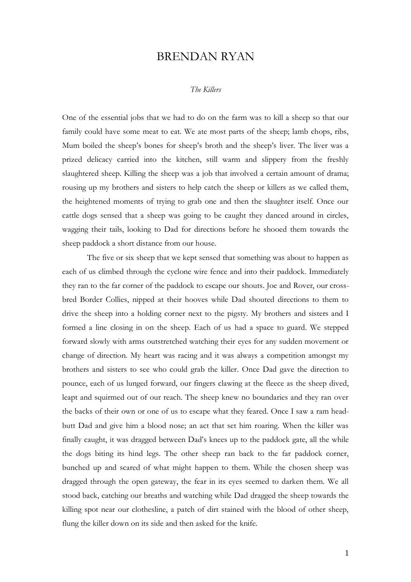## BRENDAN RYAN

## *The Killers*

One of the essential jobs that we had to do on the farm was to kill a sheep so that our family could have some meat to eat. We ate most parts of the sheep; lamb chops, ribs, Mum boiled the sheep's bones for sheep's broth and the sheep's liver. The liver was a prized delicacy carried into the kitchen, still warm and slippery from the freshly slaughtered sheep. Killing the sheep was a job that involved a certain amount of drama; rousing up my brothers and sisters to help catch the sheep or killers as we called them, the heightened moments of trying to grab one and then the slaughter itself. Once our cattle dogs sensed that a sheep was going to be caught they danced around in circles, wagging their tails, looking to Dad for directions before he shooed them towards the sheep paddock a short distance from our house.

The five or six sheep that we kept sensed that something was about to happen as each of us climbed through the cyclone wire fence and into their paddock. Immediately they ran to the far corner of the paddock to escape our shouts. Joe and Rover, our crossbred Border Collies, nipped at their hooves while Dad shouted directions to them to drive the sheep into a holding corner next to the pigsty. My brothers and sisters and I formed a line closing in on the sheep. Each of us had a space to guard. We stepped forward slowly with arms outstretched watching their eyes for any sudden movement or change of direction. My heart was racing and it was always a competition amongst my brothers and sisters to see who could grab the killer. Once Dad gave the direction to pounce, each of us lunged forward, our fingers clawing at the fleece as the sheep dived, leapt and squirmed out of our reach. The sheep knew no boundaries and they ran over the backs of their own or one of us to escape what they feared. Once I saw a ram headbutt Dad and give him a blood nose; an act that set him roaring. When the killer was finally caught, it was dragged between Dad's knees up to the paddock gate, all the while the dogs biting its hind legs. The other sheep ran back to the far paddock corner, bunched up and scared of what might happen to them. While the chosen sheep was dragged through the open gateway, the fear in its eyes seemed to darken them. We all stood back, catching our breaths and watching while Dad dragged the sheep towards the killing spot near our clothesline, a patch of dirt stained with the blood of other sheep, flung the killer down on its side and then asked for the knife.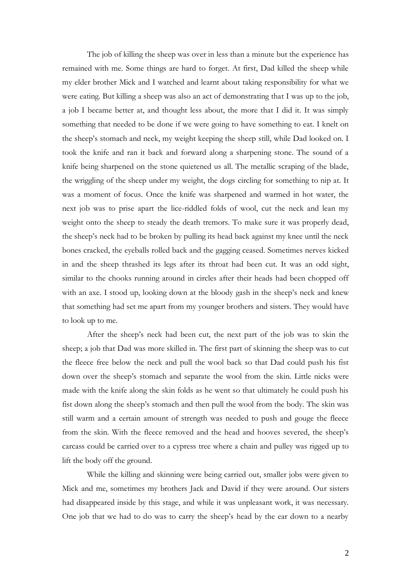The job of killing the sheep was over in less than a minute but the experience has remained with me. Some things are hard to forget. At first, Dad killed the sheep while my elder brother Mick and I watched and learnt about taking responsibility for what we were eating. But killing a sheep was also an act of demonstrating that I was up to the job, a job I became better at, and thought less about, the more that I did it. It was simply something that needed to be done if we were going to have something to eat. I knelt on the sheep's stomach and neck, my weight keeping the sheep still, while Dad looked on. I took the knife and ran it back and forward along a sharpening stone. The sound of a knife being sharpened on the stone quietened us all. The metallic scraping of the blade, the wriggling of the sheep under my weight, the dogs circling for something to nip at. It was a moment of focus. Once the knife was sharpened and warmed in hot water, the next job was to prise apart the lice-riddled folds of wool, cut the neck and lean my weight onto the sheep to steady the death tremors. To make sure it was properly dead, the sheep's neck had to be broken by pulling its head back against my knee until the neck bones cracked, the eyeballs rolled back and the gagging ceased. Sometimes nerves kicked in and the sheep thrashed its legs after its throat had been cut. It was an odd sight, similar to the chooks running around in circles after their heads had been chopped off with an axe. I stood up, looking down at the bloody gash in the sheep's neck and knew that something had set me apart from my younger brothers and sisters. They would have to look up to me.

After the sheep's neck had been cut, the next part of the job was to skin the sheep; a job that Dad was more skilled in. The first part of skinning the sheep was to cut the fleece free below the neck and pull the wool back so that Dad could push his fist down over the sheep's stomach and separate the wool from the skin. Little nicks were made with the knife along the skin folds as he went so that ultimately he could push his fist down along the sheep's stomach and then pull the wool from the body. The skin was still warm and a certain amount of strength was needed to push and gouge the fleece from the skin. With the fleece removed and the head and hooves severed, the sheep's carcass could be carried over to a cypress tree where a chain and pulley was rigged up to lift the body off the ground.

While the killing and skinning were being carried out, smaller jobs were given to Mick and me, sometimes my brothers Jack and David if they were around. Our sisters had disappeared inside by this stage, and while it was unpleasant work, it was necessary. One job that we had to do was to carry the sheep's head by the ear down to a nearby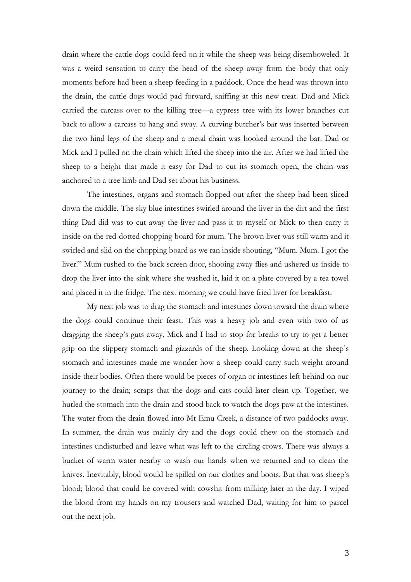drain where the cattle dogs could feed on it while the sheep was being disemboweled. It was a weird sensation to carry the head of the sheep away from the body that only moments before had been a sheep feeding in a paddock. Once the head was thrown into the drain, the cattle dogs would pad forward, sniffing at this new treat. Dad and Mick carried the carcass over to the killing tree—a cypress tree with its lower branches cut back to allow a carcass to hang and sway. A curving butcher's bar was inserted between the two hind legs of the sheep and a metal chain was hooked around the bar. Dad or Mick and I pulled on the chain which lifted the sheep into the air. After we had lifted the sheep to a height that made it easy for Dad to cut its stomach open, the chain was anchored to a tree limb and Dad set about his business.

The intestines, organs and stomach flopped out after the sheep had been sliced down the middle. The sky blue intestines swirled around the liver in the dirt and the first thing Dad did was to cut away the liver and pass it to myself or Mick to then carry it inside on the red-dotted chopping board for mum. The brown liver was still warm and it swirled and slid on the chopping board as we ran inside shouting, "Mum. Mum. I got the liver!" Mum rushed to the back screen door, shooing away flies and ushered us inside to drop the liver into the sink where she washed it, laid it on a plate covered by a tea towel and placed it in the fridge. The next morning we could have fried liver for breakfast.

My next job was to drag the stomach and intestines down toward the drain where the dogs could continue their feast. This was a heavy job and even with two of us dragging the sheep's guts away, Mick and I had to stop for breaks to try to get a better grip on the slippery stomach and gizzards of the sheep. Looking down at the sheep's stomach and intestines made me wonder how a sheep could carry such weight around inside their bodies. Often there would be pieces of organ or intestines left behind on our journey to the drain; scraps that the dogs and cats could later clean up. Together, we hurled the stomach into the drain and stood back to watch the dogs paw at the intestines. The water from the drain flowed into Mt Emu Creek, a distance of two paddocks away. In summer, the drain was mainly dry and the dogs could chew on the stomach and intestines undisturbed and leave what was left to the circling crows. There was always a bucket of warm water nearby to wash our hands when we returned and to clean the knives. Inevitably, blood would be spilled on our clothes and boots. But that was sheep's blood; blood that could be covered with cowshit from milking later in the day. I wiped the blood from my hands on my trousers and watched Dad, waiting for him to parcel out the next job.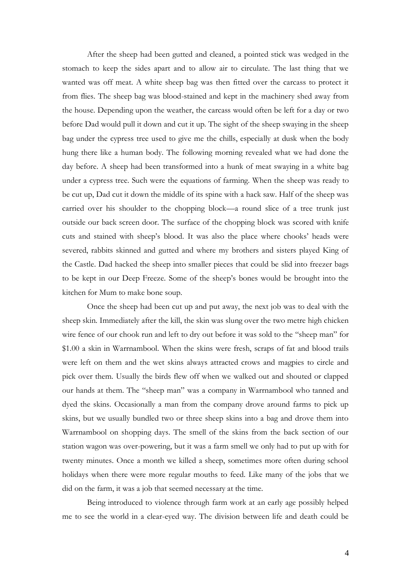After the sheep had been gutted and cleaned, a pointed stick was wedged in the stomach to keep the sides apart and to allow air to circulate. The last thing that we wanted was off meat. A white sheep bag was then fitted over the carcass to protect it from flies. The sheep bag was blood-stained and kept in the machinery shed away from the house. Depending upon the weather, the carcass would often be left for a day or two before Dad would pull it down and cut it up. The sight of the sheep swaying in the sheep bag under the cypress tree used to give me the chills, especially at dusk when the body hung there like a human body. The following morning revealed what we had done the day before. A sheep had been transformed into a hunk of meat swaying in a white bag under a cypress tree. Such were the equations of farming. When the sheep was ready to be cut up, Dad cut it down the middle of its spine with a hack saw. Half of the sheep was carried over his shoulder to the chopping block—a round slice of a tree trunk just outside our back screen door. The surface of the chopping block was scored with knife cuts and stained with sheep's blood. It was also the place where chooks' heads were severed, rabbits skinned and gutted and where my brothers and sisters played King of the Castle. Dad hacked the sheep into smaller pieces that could be slid into freezer bags to be kept in our Deep Freeze. Some of the sheep's bones would be brought into the kitchen for Mum to make bone soup.

Once the sheep had been cut up and put away, the next job was to deal with the sheep skin. Immediately after the kill, the skin was slung over the two metre high chicken wire fence of our chook run and left to dry out before it was sold to the "sheep man" for \$1.00 a skin in Warrnambool. When the skins were fresh, scraps of fat and blood trails were left on them and the wet skins always attracted crows and magpies to circle and pick over them. Usually the birds flew off when we walked out and shouted or clapped our hands at them. The "sheep man" was a company in Warrnambool who tanned and dyed the skins. Occasionally a man from the company drove around farms to pick up skins, but we usually bundled two or three sheep skins into a bag and drove them into Warrnambool on shopping days. The smell of the skins from the back section of our station wagon was over-powering, but it was a farm smell we only had to put up with for twenty minutes. Once a month we killed a sheep, sometimes more often during school holidays when there were more regular mouths to feed. Like many of the jobs that we did on the farm, it was a job that seemed necessary at the time.

Being introduced to violence through farm work at an early age possibly helped me to see the world in a clear-eyed way. The division between life and death could be